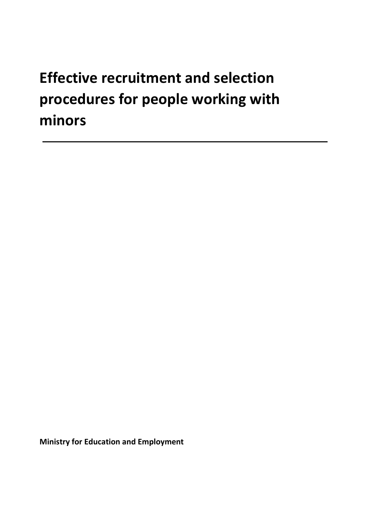# Effective recruitment and selection procedures for people working with minors

Ministry for Education and Employment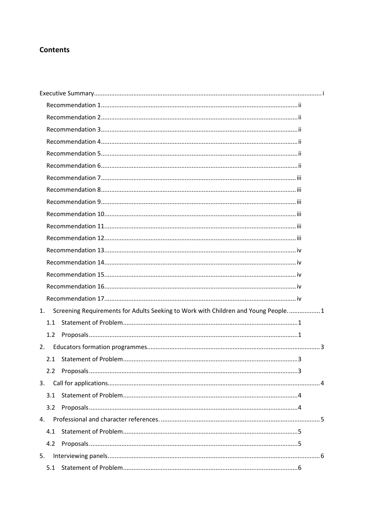### **Contents**

| 1.  | Screening Requirements for Adults Seeking to Work with Children and Young People 1 |  |
|-----|------------------------------------------------------------------------------------|--|
| 1.1 |                                                                                    |  |
| 1.2 |                                                                                    |  |
| 2.  |                                                                                    |  |
|     |                                                                                    |  |
|     |                                                                                    |  |
| 3.  |                                                                                    |  |
| 3.1 |                                                                                    |  |
| 3.2 |                                                                                    |  |
| 4.  |                                                                                    |  |
| 4.1 |                                                                                    |  |
| 4.2 |                                                                                    |  |
| 5.  |                                                                                    |  |
|     |                                                                                    |  |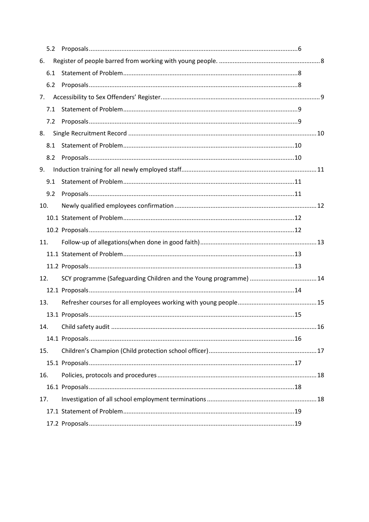| 5.2 |  |
|-----|--|
| 6.  |  |
| 6.1 |  |
| 6.2 |  |
| 7.  |  |
| 7.1 |  |
| 7.2 |  |
| 8.  |  |
| 8.1 |  |
| 8.2 |  |
| 9.  |  |
| 9.1 |  |
| 9.2 |  |
| 10. |  |
|     |  |
|     |  |
|     |  |
| 11. |  |
|     |  |
|     |  |
| 12. |  |
|     |  |
| 13. |  |
|     |  |
| 14. |  |
|     |  |
| 15. |  |
|     |  |
| 16. |  |
|     |  |
| 17. |  |
|     |  |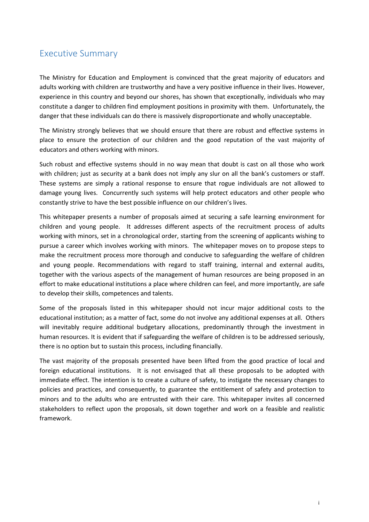# Executive Summary

The Ministry for Education and Employment is convinced that the great majority of educators and adults working with children are trustworthy and have a very positive influence in their lives. However, experience in this country and beyond our shores, has shown that exceptionally, individuals who may constitute a danger to children find employment positions in proximity with them. Unfortunately, the danger that these individuals can do there is massively disproportionate and wholly unacceptable.

The Ministry strongly believes that we should ensure that there are robust and effective systems in place to ensure the protection of our children and the good reputation of the vast majority of educators and others working with minors.

Such robust and effective systems should in no way mean that doubt is cast on all those who work with children; just as security at a bank does not imply any slur on all the bank's customers or staff. These systems are simply a rational response to ensure that rogue individuals are not allowed to damage young lives. Concurrently such systems will help protect educators and other people who constantly strive to have the best possible influence on our children's lives.

This whitepaper presents a number of proposals aimed at securing a safe learning environment for children and young people. It addresses different aspects of the recruitment process of adults working with minors, set in a chronological order, starting from the screening of applicants wishing to pursue a career which involves working with minors. The whitepaper moves on to propose steps to make the recruitment process more thorough and conducive to safeguarding the welfare of children and young people. Recommendations with regard to staff training, internal and external audits, together with the various aspects of the management of human resources are being proposed in an effort to make educational institutions a place where children can feel, and more importantly, are safe to develop their skills, competences and talents.

Some of the proposals listed in this whitepaper should not incur major additional costs to the educational institution; as a matter of fact, some do not involve any additional expenses at all. Others will inevitably require additional budgetary allocations, predominantly through the investment in human resources. It is evident that if safeguarding the welfare of children is to be addressed seriously, there is no option but to sustain this process, including financially.

The vast majority of the proposals presented have been lifted from the good practice of local and foreign educational institutions. It is not envisaged that all these proposals to be adopted with immediate effect. The intention is to create a culture of safety, to instigate the necessary changes to policies and practices, and consequently, to guarantee the entitlement of safety and protection to minors and to the adults who are entrusted with their care. This whitepaper invites all concerned stakeholders to reflect upon the proposals, sit down together and work on a feasible and realistic framework.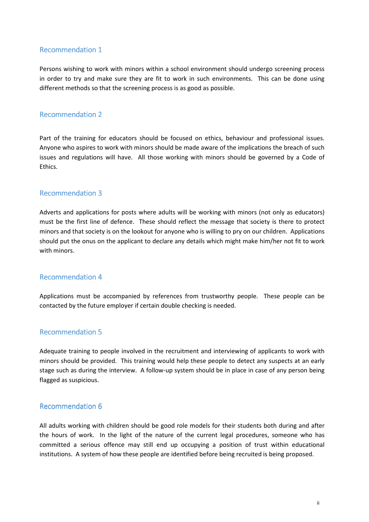#### Recommendation 1

Persons wishing to work with minors within a school environment should undergo screening process in order to try and make sure they are fit to work in such environments. This can be done using different methods so that the screening process is as good as possible.

#### Recommendation 2

Part of the training for educators should be focused on ethics, behaviour and professional issues. Anyone who aspires to work with minors should be made aware of the implications the breach of such issues and regulations will have. All those working with minors should be governed by a Code of Ethics.

#### **Recommendation 3**

Adverts and applications for posts where adults will be working with minors (not only as educators) must be the first line of defence. These should reflect the message that society is there to protect minors and that society is on the lookout for anyone who is willing to pry on our children. Applications should put the onus on the applicant to declare any details which might make him/her not fit to work with minors.

#### Recommendation 4 4

Applications must be accompanied by references from trustworthy people. These people can be contacted by the future employer if certain double checking is needed.

#### Recommendation 5

Adequate training to people involved in the recruitment and interviewing of applicants to work with minors should be provided. This training would help these people to detect any suspects at an early stage such as during the interview. A follow-up system should be in place in case of any person being flagged as suspicious.

#### Recommendation 6

All adults working with children should be good role models for their students both during and after the hours of work. In the light of the nature of the current legal procedures, someone who has committed a serious offence may still end up occupying a position of trust within educational institutions. A system of how these people are identified before being recruited is being proposed.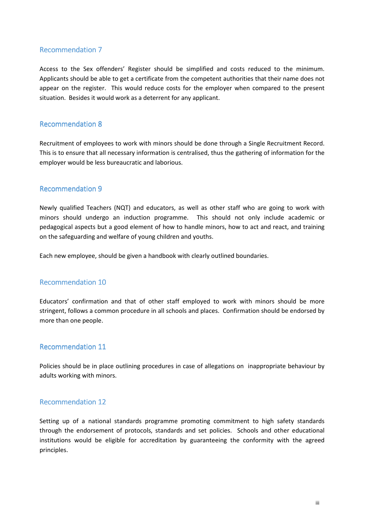#### **Recommendation 7**

Access to the Sex offenders' Register should be simplified and costs reduced to the minimum. Applicants should be able to get a certificate from the competent authorities that their name does not appear on the register. This would reduce costs for the employer when compared to the present situation. Besides it would work as a deterrent for any applicant.

#### **Recommendation 8**

Recruitment of employees to work with minors should be done through a Single Recruitment Record. This is to ensure that all necessary information is centralised, thus the gathering of information for the employer would be less bureaucratic and laborious.

#### **Recommendation 9**

Newly qualified Teachers (NQT) and educators, as well as other staff who are going to work with minors should undergo an induction programme. This should not only include academic or pedagogical aspects but a good element of how to handle minors, how to act and react, and training on the safeguarding and welfare of young children and youths.

Each new employee, should be given a handbook with clearly outlined boundaries.

#### Recommendation 10

Educators' confirmation and that of other staff employed to work with minors should be more stringent, follows a common procedure in all schools and places. Confirmation should be endorsed by more than one people.

#### Recommendation 11

Policies should be in place outlining procedures in case of allegations on inappropriate behaviour by adults working with minors.

#### Recommendation 12

Setting up of a national standards programme promoting commitment to high safety standards through the endorsement of protocols, standards and set policies. Schools and other educational institutions would be eligible for accreditation by guaranteeing the conformity with the agreed principles.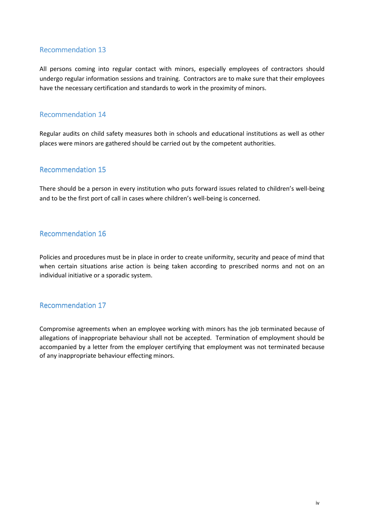#### Recommendation 13

All persons coming into regular contact with minors, especially employees of contractors should undergo regular information sessions and training. Contractors are to make sure that their employees have the necessary certification and standards to work in the proximity of minors.

#### Recommendation 14

Regular audits on child safety measures both in schools and educational institutions as well as other places were minors are gathered should be carried out by the competent authorities.

#### **Recommendation 15**

There should be a person in every institution who puts forward issues related to children's well-being and to be the first port of call in cases where children's well-being is concerned.

#### Recommendation 16

Policies and procedures must be in place in order to create uniformity, security and peace of mind that when certain situations arise action is being taken according to prescribed norms and not on an individual initiative or a sporadic system.

#### **Recommendation 17**

Compromise agreements when an employee working with minors has the job terminated because of allegations of inappropriate behaviour shall not be accepted. Termination of employment should be accompanied by a letter from the employer certifying that employment was not terminated because of any inappropriate behaviour effecting minors.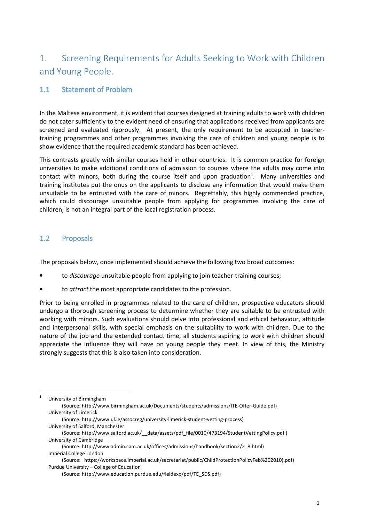# 1. Screening Requirements for Adults Seeking to Work with Children and Young People.

### 1.1 Statement of Problem

In the Maltese environment, it is evident that courses designed at training adults to work with children do not cater sufficiently to the evident need of ensuring that applications received from applicants are screened and evaluated rigorously. At present, the only requirement to be accepted in teachertraining programmes and other programmes involving the care of children and young people is to show evidence that the required academic standard has been achieved.

This contrasts greatly with similar courses held in other countries. It is common practice for foreign universities to make additional conditions of admission to courses where the adults may come into contact with minors, both during the course itself and upon graduation<sup>1</sup>. Many universities and training institutes put the onus on the applicants to disclose any information that would make them unsuitable to be entrusted with the care of minors. Regrettably, this highly commended practice, which could discourage unsuitable people from applying for programmes involving the care of children, is not an integral part of the local registration process.

#### 1.2 Proposals

The proposals below, once implemented should achieve the following two broad outcomes:

- to discourage unsuitable people from applying to join teacher-training courses;
- to *attract* the most appropriate candidates to the profession.

Prior to being enrolled in programmes related to the care of children, prospective educators should undergo a thorough screening process to determine whether they are suitable to be entrusted with working with minors. Such evaluations should delve into professional and ethical behaviour, attitude and interpersonal skills, with special emphasis on the suitability to work with children. Due to the nature of the job and the extended contact time, all students aspiring to work with children should appreciate the influence they will have on young people they meet. In view of this, the Ministry strongly suggests that this is also taken into consideration.

 $\overline{a}$ 1 University of Birmingham (Source: http://www.birmingham.ac.uk/Documents/students/admissions/ITE-Offer-Guide.pdf) University of Limerick (Source: http://www.ul.ie/assocreg/university-limerick-student-vetting-process) University of Salford, Manchester (Source: http://www.salford.ac.uk/\_\_data/assets/pdf\_file/0010/473194/StudentVettingPolicy.pdf ) University of Cambridge (Source: http://www.admin.cam.ac.uk/offices/admissions/handbook/section2/2\_8.html) Imperial College London (Source: https://workspace.imperial.ac.uk/secretariat/public/ChildProtectionPolicyFeb%202010).pdf) Purdue University – College of Education

<sup>(</sup>Source: http://www.education.purdue.edu/fieldexp/pdf/TE\_SDS.pdf)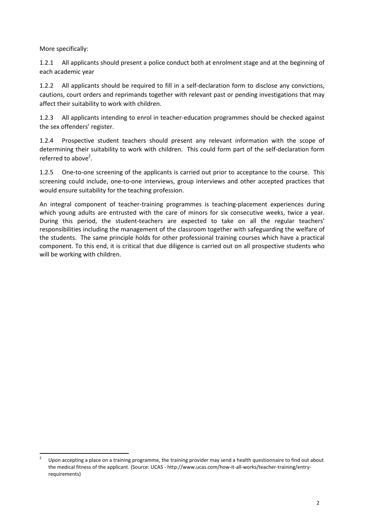More specifically:

l

1.2.1 All applicants should present a police conduct both at enrolment stage and at the beginning of each academic year

1.2.2 All applicants should be required to fill in a self-declaration form to disclose any convictions, cautions, court orders and reprimands together with relevant past or pending investigations that may affect their suitability to work with children.

1.2.3 All applicants intending to enrol in teacher-education programmes should be checked against the sex offenders' register.

1.2.4 Prospective student teachers should present any relevant information with the scope of determining their suitability to work with children. This could form part of the self-declaration form referred to above<sup>2</sup>.

1.2.5 One-to-one screening of the applicants is carried out prior to acceptance to the course. This screening could include, one-to-one interviews, group interviews and other accepted practices that would ensure suitability for the teaching profession.

An integral component of teacher-training programmes is teaching-placement experiences during which young adults are entrusted with the care of minors for six consecutive weeks, twice a year. During this period, the student-teachers are expected to take on all the regular teachers' responsibilities including the management of the classroom together with safeguarding the welfare of the students. The same principle holds for other professional training courses which have a practical component. To this end, it is critical that due diligence is carried out on all prospective students who will be working with children.

<sup>2</sup> Upon accepting a place on a training programme, the training provider may send a health questionnaire to find out about the medical fitness of the applicant. (Source: UCAS - http://www.ucas.com/how-it-all-works/teacher-training/entryrequirements)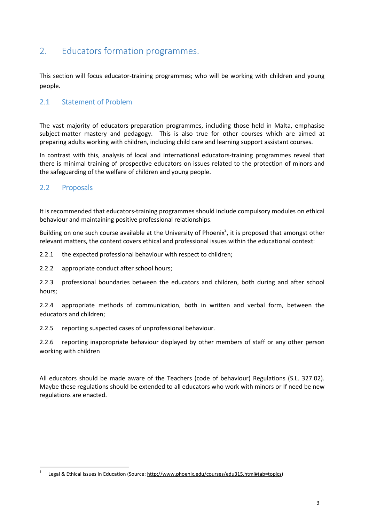# 2. Educators formation programmes.

This section will focus educator-training programmes; who will be working with children and young people.

### 2.1 Statement of Problem

The vast majority of educators-preparation programmes, including those held in Malta, emphasise subject-matter mastery and pedagogy. This is also true for other courses which are aimed at preparing adults working with children, including child care and learning support assistant courses.

In contrast with this, analysis of local and international educators-training programmes reveal that there is minimal training of prospective educators on issues related to the protection of minors and the safeguarding of the welfare of children and young people.

#### 2.2 Proposals

 $\overline{\phantom{0}}$ 

It is recommended that educators-training programmes should include compulsory modules on ethical behaviour and maintaining positive professional relationships.

Building on one such course available at the University of Phoenix<sup>3</sup>, it is proposed that amongst other relevant matters, the content covers ethical and professional issues within the educational context:

2.2.1 the expected professional behaviour with respect to children;

2.2.2 appropriate conduct after school hours;

2.2.3 professional boundaries between the educators and children, both during and after school hours;

2.2.4 appropriate methods of communication, both in written and verbal form, between the educators and children;

2.2.5 reporting suspected cases of unprofessional behaviour.

2.2.6 reporting inappropriate behaviour displayed by other members of staff or any other person working with children

All educators should be made aware of the Teachers (code of behaviour) Regulations (S.L. 327.02). Maybe these regulations should be extended to all educators who work with minors or If need be new regulations are enacted.

<sup>3</sup> Legal & Ethical Issues In Education (Source: http://www.phoenix.edu/courses/edu315.html#tab=topics)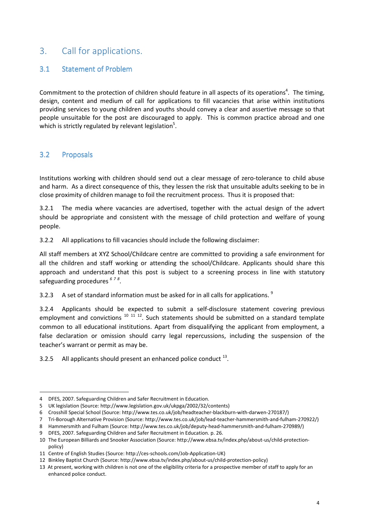# 3. Call for applications.

### 3.1 Statement of Problem

Commitment to the protection of children should feature in all aspects of its operations<sup>4</sup>. The timing, design, content and medium of call for applications to fill vacancies that arise within institutions providing services to young children and youths should convey a clear and assertive message so that people unsuitable for the post are discouraged to apply. This is common practice abroad and one which is strictly regulated by relevant legislation<sup>5</sup>.

### 3.2 Proposals

 $\overline{a}$ 

Institutions working with children should send out a clear message of zero-tolerance to child abuse and harm. As a direct consequence of this, they lessen the risk that unsuitable adults seeking to be in close proximity of children manage to foil the recruitment process. Thus it is proposed that:

3.2.1 The media where vacancies are advertised, together with the actual design of the advert should be appropriate and consistent with the message of child protection and welfare of young people.

3.2.2 All applications to fill vacancies should include the following disclaimer:

All staff members at XYZ School/Childcare centre are committed to providing a safe environment for all the children and staff working or attending the school/Childcare. Applicants should share this approach and understand that this post is subject to a screening process in line with statutory safeguarding procedures  $678$ .

3.2.3 A set of standard information must be asked for in all calls for applications.  $9$ 

3.2.4 Applicants should be expected to submit a self-disclosure statement covering previous employment and convictions  $10^{11}$   $12^{12}$ . Such statements should be submitted on a standard template common to all educational institutions. Apart from disqualifying the applicant from employment, a false declaration or omission should carry legal repercussions, including the suspension of the teacher's warrant or permit as may be.

3.2.5 All applicants should present an enhanced police conduct  $^{13}$ .

<sup>4</sup> DFES, 2007. Safeguarding Children and Safer Recruitment in Education.

<sup>5</sup> UK legislation (Source: http://www.legislation.gov.uk/ukpga/2002/32/contents)

<sup>6</sup> Crosshill Special School (Source: http://www.tes.co.uk/job/headteacher-blackburn-with-darwen-270187/)

<sup>7</sup> Tri-Borough Alternative Provision (Source: http://www.tes.co.uk/job/lead-teacher-hammersmith-and-fulham-270922/)

<sup>8</sup> Hammersmith and Fulham (Source: http://www.tes.co.uk/job/deputy-head-hammersmith-and-fulham-270989/)

<sup>9</sup> DFES, 2007. Safeguarding Children and Safer Recruitment in Education. p. 26.

<sup>10</sup> The European Billiards and Snooker Association (Source: http://www.ebsa.tv/index.php/about-us/child-protectionpolicy)

<sup>11</sup> Centre of English Studies (Source: http://ces-schools.com/Job-Application-UK)

<sup>12</sup> Binkley Baptist Church (Source: http://www.ebsa.tv/index.php/about-us/child-protection-policy)

<sup>13</sup> At present, working with children is not one of the eligibility criteria for a prospective member of staff to apply for an enhanced police conduct.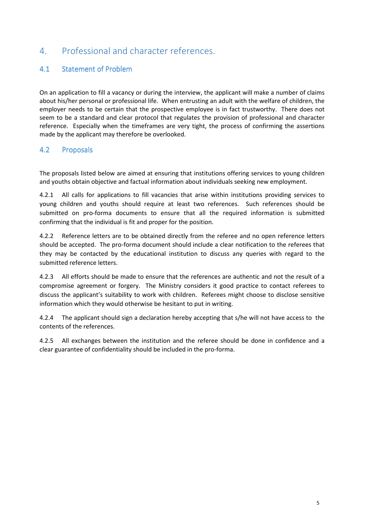# 4. Professional and character references.

### 4.1 Statement of Problem

On an application to fill a vacancy or during the interview, the applicant will make a number of claims about his/her personal or professional life. When entrusting an adult with the welfare of children, the employer needs to be certain that the prospective employee is in fact trustworthy. There does not seem to be a standard and clear protocol that regulates the provision of professional and character reference. Especially when the timeframes are very tight, the process of confirming the assertions made by the applicant may therefore be overlooked.

### 4.2 Proposals

The proposals listed below are aimed at ensuring that institutions offering services to young children and youths obtain objective and factual information about individuals seeking new employment.

4.2.1 All calls for applications to fill vacancies that arise within institutions providing services to young children and youths should require at least two references. Such references should be submitted on pro-forma documents to ensure that all the required information is submitted confirming that the individual is fit and proper for the position.

4.2.2 Reference letters are to be obtained directly from the referee and no open reference letters should be accepted. The pro-forma document should include a clear notification to the referees that they may be contacted by the educational institution to discuss any queries with regard to the submitted reference letters.

4.2.3 All efforts should be made to ensure that the references are authentic and not the result of a compromise agreement or forgery. The Ministry considers it good practice to contact referees to discuss the applicant's suitability to work with children. Referees might choose to disclose sensitive information which they would otherwise be hesitant to put in writing.

4.2.4 The applicant should sign a declaration hereby accepting that s/he will not have access to the contents of the references.

4.2.5 All exchanges between the institution and the referee should be done in confidence and a clear guarantee of confidentiality should be included in the pro-forma.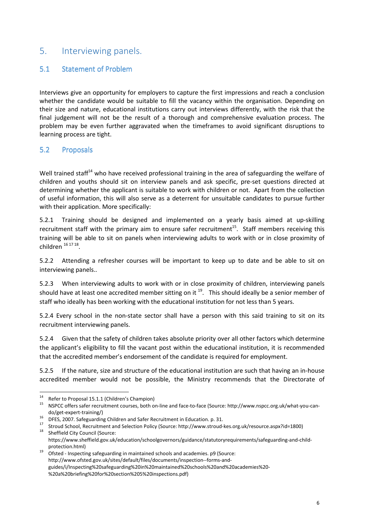### 5. Interviewing panels.

#### 5.1 Statement of Problem

Interviews give an opportunity for employers to capture the first impressions and reach a conclusion whether the candidate would be suitable to fill the vacancy within the organisation. Depending on their size and nature, educational institutions carry out interviews differently, with the risk that the final judgement will not be the result of a thorough and comprehensive evaluation process. The problem may be even further aggravated when the timeframes to avoid significant disruptions to learning process are tight.

#### 5.2 Proposals

Well trained staff<sup>14</sup> who have received professional training in the area of safeguarding the welfare of children and youths should sit on interview panels and ask specific, pre-set questions directed at determining whether the applicant is suitable to work with children or not. Apart from the collection of useful information, this will also serve as a deterrent for unsuitable candidates to pursue further with their application. More specifically:

5.2.1 Training should be designed and implemented on a yearly basis aimed at up-skilling recruitment staff with the primary aim to ensure safer recruitment<sup>15</sup>. Staff members receiving this training will be able to sit on panels when interviewing adults to work with or in close proximity of children <sup>16 17 18</sup>.

5.2.2 Attending a refresher courses will be important to keep up to date and be able to sit on interviewing panels..

5.2.3 When interviewing adults to work with or in close proximity of children, interviewing panels should have at least one accredited member sitting on it  $19$ . This should ideally be a senior member of staff who ideally has been working with the educational institution for not less than 5 years.

5.2.4 Every school in the non-state sector shall have a person with this said training to sit on its recruitment interviewing panels.

5.2.4 Given that the safety of children takes absolute priority over all other factors which determine the applicant's eligibility to fill the vacant post within the educational institution, it is recommended that the accredited member's endorsement of the candidate is required for employment.

5.2.5 If the nature, size and structure of the educational institution are such that having an in-house accredited member would not be possible, the Ministry recommends that the Directorate of

 $14$ <sup>14</sup> Refer to Proposal 15.1.1 (Children's Champion)

<sup>15</sup> NSPCC offers safer recruitment courses, both on-line and face-to-face (Source: http://www.nspcc.org.uk/what-you-cando/get-expert-training/)

<sup>16</sup> DFES, 2007. Safeguarding Children and Safer Recruitment in Education. p. 31.

<sup>17</sup> Stroud School, Recruitment and Selection Policy (Source: http://www.stroud-kes.org.uk/resource.aspx?id=1800)

Sheffield City Council (Source: https://www.sheffield.gov.uk/education/schoolgovernors/guidance/statutoryrequirements/safeguarding-and-childprotection.html)

<sup>19</sup> Ofsted - Inspecting safeguarding in maintained schools and academies. p9 (Source: http://www.ofsted.gov.uk/sites/default/files/documents/inspection--forms-andguides/i/Inspecting%20safeguarding%20in%20maintained%20schools%20and%20academies%20- %20a%20briefing%20for%20section%205%20inspections.pdf)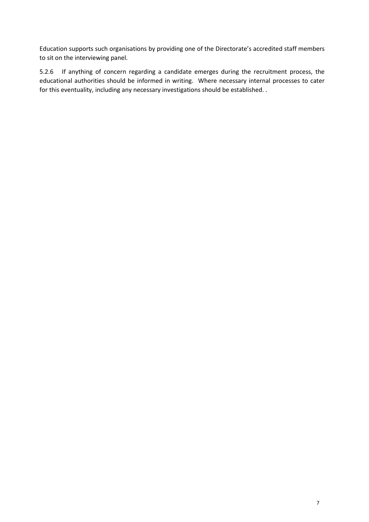Education supports such organisations by providing one of the Directorate's accredited staff members to sit on the interviewing panel.

5.2.6 If anything of concern regarding a candidate emerges during the recruitment process, the educational authorities should be informed in writing. Where necessary internal processes to cater for this eventuality, including any necessary investigations should be established. .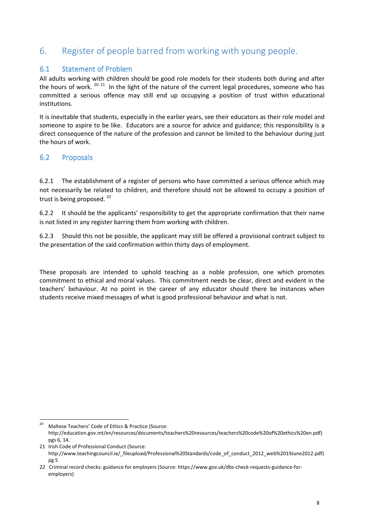# 6. Register of people barred from working with young people.

#### 6.1 Statement of Problem

All adults working with children should be good role models for their students both during and after the hours of work.  $2021$  In the light of the nature of the current legal procedures, someone who has committed a serious offence may still end up occupying a position of trust within educational institutions.

It is inevitable that students, especially in the earlier years, see their educators as their role model and someone to aspire to be like. Educators are a source for advice and guidance; this responsibility is a direct consequence of the nature of the profession and cannot be limited to the behaviour during just the hours of work.

### 6.2 Proposals

 $\overline{\phantom{0}}$ 

6.2.1 The establishment of a register of persons who have committed a serious offence which may not necessarily be related to children, and therefore should not be allowed to occupy a position of trust is being proposed.<sup>22</sup>

6.2.2 It should be the applicants' responsibility to get the appropriate confirmation that their name is not listed in any register barring them from working with children.

6.2.3 Should this not be possible, the applicant may still be offered a provisional contract subject to the presentation of the said confirmation within thirty days of employment.

These proposals are intended to uphold teaching as a noble profession, one which promotes commitment to ethical and moral values. This commitment needs be clear, direct and evident in the teachers' behaviour. At no point in the career of any educator should there be instances when students receive mixed messages of what is good professional behaviour and what is not.

Maltese Teachers' Code of Ethics & Practice (Source: http://education.gov.mt/en/resources/documents/teachers%20resources/teachers%20code%20of%20ethics%20en.pdf) pgs 6, 14.

<sup>21</sup> Irish Code of Professional Conduct (Source: http://www.teachingcouncil.ie/\_fileupload/Professional%20Standards/code\_of\_conduct\_2012\_web%2019June2012.pdf) pg 5

<sup>22</sup> Criminal record checks: guidance for employers (Source: https://www.gov.uk/dbs-check-requests-guidance-foremployers)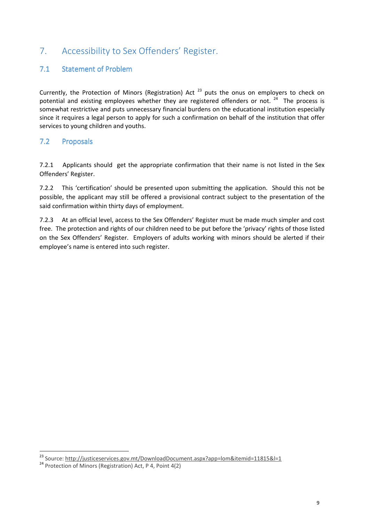# 7. Accessibility to Sex Offenders' Register.

### 7.1 Statement of Problem

Currently, the Protection of Minors (Registration) Act<sup>23</sup> puts the onus on employers to check on potential and existing employees whether they are registered offenders or not.  $24$  The process is somewhat restrictive and puts unnecessary financial burdens on the educational institution especially since it requires a legal person to apply for such a confirmation on behalf of the institution that offer services to young children and youths.

### 7.2 Proposals

7.2.1 Applicants should get the appropriate confirmation that their name is not listed in the Sex Offenders' Register.

7.2.2 This 'certification' should be presented upon submitting the application. Should this not be possible, the applicant may still be offered a provisional contract subject to the presentation of the said confirmation within thirty days of employment.

7.2.3 At an official level, access to the Sex Offenders' Register must be made much simpler and cost free. The protection and rights of our children need to be put before the 'privacy' rights of those listed on the Sex Offenders' Register. Employers of adults working with minors should be alerted if their employee's name is entered into such register.

 $\overline{a}$ 

<sup>&</sup>lt;sup>23</sup> Source: <u>http://justiceservices.gov.mt/DownloadDocument.aspx?app=lom&itemid=11815&l=1</u>

<sup>24</sup> Protection of Minors (Registration) Act, P 4, Point 4(2)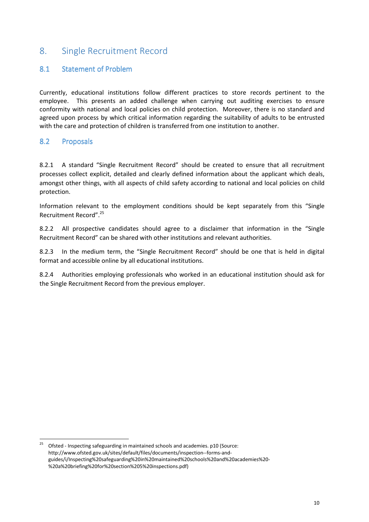### 8. Single Recruitment Record

#### 8.1 Statement of Problem

Currently, educational institutions follow different practices to store records pertinent to the employee. This presents an added challenge when carrying out auditing exercises to ensure conformity with national and local policies on child protection. Moreover, there is no standard and agreed upon process by which critical information regarding the suitability of adults to be entrusted with the care and protection of children is transferred from one institution to another.

#### 8.2 Proposals

 $\overline{a}$ 

8.2.1 A standard "Single Recruitment Record" should be created to ensure that all recruitment processes collect explicit, detailed and clearly defined information about the applicant which deals, amongst other things, with all aspects of child safety according to national and local policies on child protection.

Information relevant to the employment conditions should be kept separately from this "Single Recruitment Record".<sup>25</sup>

8.2.2 All prospective candidates should agree to a disclaimer that information in the "Single Recruitment Record" can be shared with other institutions and relevant authorities.

8.2.3 In the medium term, the "Single Recruitment Record" should be one that is held in digital format and accessible online by all educational institutions.

8.2.4 Authorities employing professionals who worked in an educational institution should ask for the Single Recruitment Record from the previous employer.

<sup>25</sup> Ofsted - Inspecting safeguarding in maintained schools and academies. p10 (Source: http://www.ofsted.gov.uk/sites/default/files/documents/inspection--forms-andguides/i/Inspecting%20safeguarding%20in%20maintained%20schools%20and%20academies%20- %20a%20briefing%20for%20section%205%20inspections.pdf)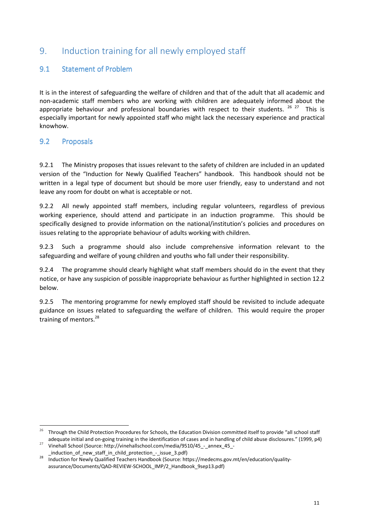# 9. Induction training for all newly employed staff

### 9.1 Statement of Problem

It is in the interest of safeguarding the welfare of children and that of the adult that all academic and non-academic staff members who are working with children are adequately informed about the appropriate behaviour and professional boundaries with respect to their students.  $2627$  This is especially important for newly appointed staff who might lack the necessary experience and practical knowhow.

#### 9.2 Proposals

 $\overline{\phantom{0}}$ 

9.2.1 The Ministry proposes that issues relevant to the safety of children are included in an updated version of the "Induction for Newly Qualified Teachers" handbook. This handbook should not be written in a legal type of document but should be more user friendly, easy to understand and not leave any room for doubt on what is acceptable or not.

9.2.2 All newly appointed staff members, including regular volunteers, regardless of previous working experience, should attend and participate in an induction programme. This should be specifically designed to provide information on the national/institution's policies and procedures on issues relating to the appropriate behaviour of adults working with children.

9.2.3 Such a programme should also include comprehensive information relevant to the safeguarding and welfare of young children and youths who fall under their responsibility.

9.2.4 The programme should clearly highlight what staff members should do in the event that they notice, or have any suspicion of possible inappropriate behaviour as further highlighted in section 12.2 below.

9.2.5 The mentoring programme for newly employed staff should be revisited to include adequate guidance on issues related to safeguarding the welfare of children. This would require the proper training of mentors.<sup>28</sup>

<sup>&</sup>lt;sup>26</sup> Through the Child Protection Procedures for Schools, the Education Division committed itself to provide "all school staff adequate initial and on-going training in the identification of cases and in handling of child abuse disclosures." (1999, p4)

Vinehall School (Source: http://vinehallschool.com/media/9510/45 - annex 45 -\_induction\_of\_new\_staff\_in\_child\_protection\_-\_issue\_3.pdf)

<sup>28</sup> Induction for Newly Qualified Teachers Handbook (Source: https://medecms.gov.mt/en/education/qualityassurance/Documents/QAD-REVIEW-SCHOOL\_IMP/2\_Handbook\_9sep13.pdf)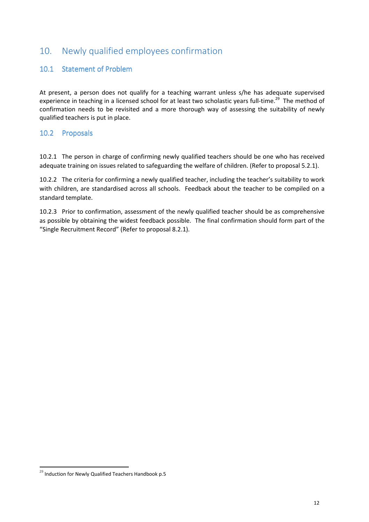# 10. Newly qualified employees confirmation

#### 10.1 Statement of Problem

At present, a person does not qualify for a teaching warrant unless s/he has adequate supervised experience in teaching in a licensed school for at least two scholastic years full-time.<sup>29</sup> The method of confirmation needs to be revisited and a more thorough way of assessing the suitability of newly qualified teachers is put in place.

#### 10.2 Proposals

10.2.1 The person in charge of confirming newly qualified teachers should be one who has received adequate training on issues related to safeguarding the welfare of children. (Refer to proposal 5.2.1).

10.2.2 The criteria for confirming a newly qualified teacher, including the teacher's suitability to work with children, are standardised across all schools. Feedback about the teacher to be compiled on a standard template.

10.2.3 Prior to confirmation, assessment of the newly qualified teacher should be as comprehensive as possible by obtaining the widest feedback possible. The final confirmation should form part of the "Single Recruitment Record" (Refer to proposal 8.2.1).

 $\overline{\phantom{0}}$ 

 $^{29}$  Induction for Newly Qualified Teachers Handbook p.5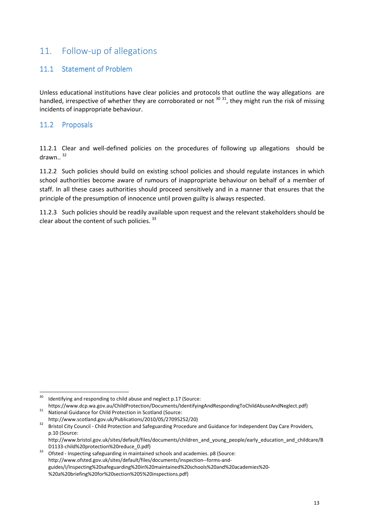# 11. Follow-up of allegations

### 11.1 Statement of Problem

Unless educational institutions have clear policies and protocols that outline the way allegations are handled, irrespective of whether they are corroborated or not  $30^{31}$ , they might run the risk of missing incidents of inappropriate behaviour.

#### 11.2 Proposals

11.2.1 Clear and well-defined policies on the procedures of following up allegations should be drawn. $32$ 

11.2.2 Such policies should build on existing school policies and should regulate instances in which school authorities become aware of rumours of inappropriate behaviour on behalf of a member of staff. In all these cases authorities should proceed sensitively and in a manner that ensures that the principle of the presumption of innocence until proven guilty is always respected.

11.2.3 Such policies should be readily available upon request and the relevant stakeholders should be clear about the content of such policies. 33

 $30$ Identifying and responding to child abuse and neglect p.17 (Source: https://www.dcp.wa.gov.au/ChildProtection/Documents/IdentifyingAndRespondingToChildAbuseAndNeglect.pdf)

<sup>31</sup> National Guidance for Child Protection in Scotland (Source: http://www.scotland.gov.uk/Publications/2010/05/27095252/20)

<sup>32</sup> Bristol City Council - Child Protection and Safeguarding Procedure and Guidance for Independent Day Care Providers, p.10 (Source:

http://www.bristol.gov.uk/sites/default/files/documents/children\_and\_young\_people/early\_education\_and\_childcare/B D1133-child%20protection%20reduce\_0.pdf)

<sup>&</sup>lt;sup>33</sup> Ofsted - Inspecting safeguarding in maintained schools and academies. p8 (Source: http://www.ofsted.gov.uk/sites/default/files/documents/inspection--forms-andguides/i/Inspecting%20safeguarding%20in%20maintained%20schools%20and%20academies%20- %20a%20briefing%20for%20section%205%20inspections.pdf)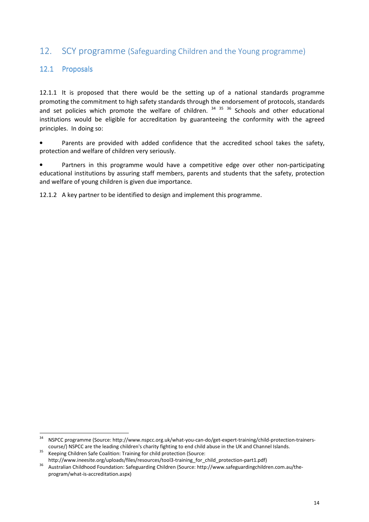### 12. SCY programme (Safeguarding Children and the Young programme)

#### 12.1 Proposals

12.1.1 It is proposed that there would be the setting up of a national standards programme promoting the commitment to high safety standards through the endorsement of protocols, standards and set policies which promote the welfare of children.  $34-35-36$  Schools and other educational institutions would be eligible for accreditation by guaranteeing the conformity with the agreed principles. In doing so:

Parents are provided with added confidence that the accredited school takes the safety, protection and welfare of children very seriously.

Partners in this programme would have a competitive edge over other non-participating educational institutions by assuring staff members, parents and students that the safety, protection and welfare of young children is given due importance.

12.1.2 A key partner to be identified to design and implement this programme.

<sup>34</sup> <sup>34</sup> NSPCC programme (Source: http://www.nspcc.org.uk/what-you-can-do/get-expert-training/child-protection-trainerscourse/) NSPCC are the leading children's charity fighting to end child abuse in the UK and Channel Islands.

<sup>&</sup>lt;sup>35</sup> Keeping Children Safe Coalition: Training for child protection (Source:

http://www.ineesite.org/uploads/files/resources/tool3-training\_for\_child\_protection-part1.pdf)

<sup>36</sup> Australian Childhood Foundation: Safeguarding Children (Source: http://www.safeguardingchildren.com.au/theprogram/what-is-accreditation.aspx)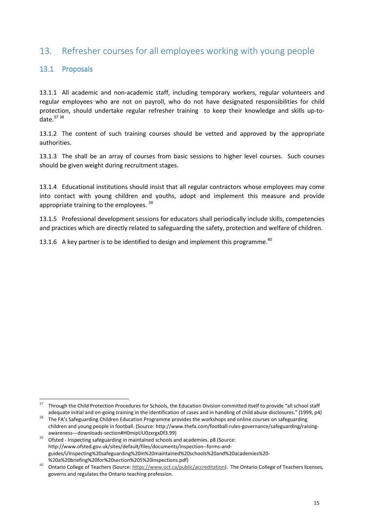# 13. Refresher courses for all employees working with young people

### 13.1 Proposals

 $\overline{\phantom{0}}$ 

13.1.1 All academic and non-academic staff, including temporary workers, regular volunteers and regular employees who are not on payroll, who do not have designated responsibilities for child protection, should undertake regular refresher training to keep their knowledge and skills up-todate. $37,38$ 

13.1.2 The content of such training courses should be vetted and approved by the appropriate authorities.

13.1.3 The shall be an array of courses from basic sessions to higher level courses. Such courses should be given weight during recruitment stages.

13.1.4 Educational institutions should insist that all regular contractors whose employees may come into contact with young children and youths, adopt and implement this measure and provide appropriate training to the employees. <sup>39</sup>

13.1.5 Professional development sessions for educators shall periodically include skills, competencies and practices which are directly related to safeguarding the safety, protection and welfare of children.

13.1.6 A key partner is to be identified to design and implement this programme.<sup>40</sup>

<sup>37</sup> Through the Child Protection Procedures for Schools, the Education Division committed itself to provide "all school staff adequate initial and on-going training in the identification of cases and in handling of child abuse disclosures." (1999, p4)

<sup>38</sup> The FA's Safeguarding Children Education Programme provides the workshops and online courses on safeguarding children and young people in football. (Source: http://www.thefa.com/football-rules-governance/safeguarding/raisingawareness---downloads-section#H0mipUU0zxrgxDf3.99)

<sup>39</sup> Ofsted - Inspecting safeguarding in maintained schools and academies. p8 (Source: http://www.ofsted.gov.uk/sites/default/files/documents/inspection--forms-andguides/i/Inspecting%20safeguarding%20in%20maintained%20schools%20and%20academies%20- %20a%20briefing%20for%20section%205%20inspections.pdf)

<sup>40</sup> Ontario College of Teachers (Source: https://www.oct.ca/public/accreditation). The Ontario College of Teachers licenses, governs and regulates the Ontario teaching profession.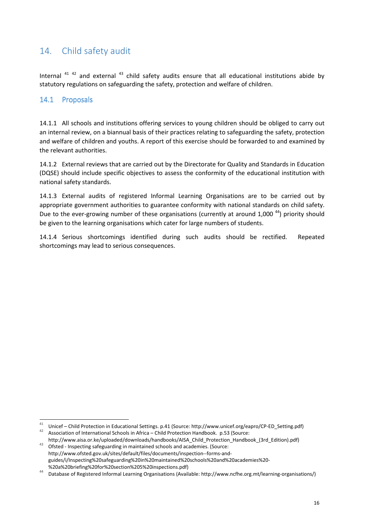# 14. Child safety audit

Internal  $41$   $42$  and external  $43$  child safety audits ensure that all educational institutions abide by statutory regulations on safeguarding the safety, protection and welfare of children.

### 14.1 Proposals

 $\overline{\phantom{0}}$ 

14.1.1 All schools and institutions offering services to young children should be obliged to carry out an internal review, on a biannual basis of their practices relating to safeguarding the safety, protection and welfare of children and youths. A report of this exercise should be forwarded to and examined by the relevant authorities.

14.1.2 External reviews that are carried out by the Directorate for Quality and Standards in Education (DQSE) should include specific objectives to assess the conformity of the educational institution with national safety standards.

14.1.3 External audits of registered Informal Learning Organisations are to be carried out by appropriate government authorities to guarantee conformity with national standards on child safety. Due to the ever-growing number of these organisations (currently at around 1,000<sup>44</sup>) priority should be given to the learning organisations which cater for large numbers of students.

14.1.4 Serious shortcomings identified during such audits should be rectified. Repeated shortcomings may lead to serious consequences.

<sup>41</sup> Unicef – Child Protection in Educational Settings. p.41 (Source: http://www.unicef.org/eapro/CP-ED\_Setting.pdf) <sup>42</sup> Association of International Schools in Africa – Child Protection Handbook. p.53 (Source:

http://www.aisa.or.ke/uploaded/downloads/handbooks/AISA\_Child\_Protection\_Handbook\_(3rd\_Edition).pdf) 43 Ofsted - Inspecting safeguarding in maintained schools and academies. (Source:

http://www.ofsted.gov.uk/sites/default/files/documents/inspection--forms-andguides/i/Inspecting%20safeguarding%20in%20maintained%20schools%20and%20academies%20- %20a%20briefing%20for%20section%205%20inspections.pdf)

<sup>44</sup> Database of Registered Informal Learning Organisations (Available: http://www.ncfhe.org.mt/learning-organisations/)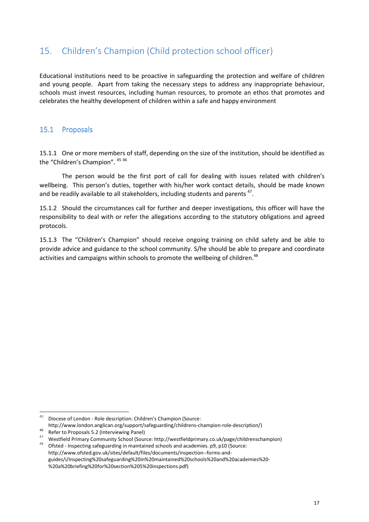# 15. Children's Champion (Child protection school officer)

Educational institutions need to be proactive in safeguarding the protection and welfare of children and young people. Apart from taking the necessary steps to address any inappropriate behaviour, schools must invest resources, including human resources, to promote an ethos that promotes and celebrates the healthy development of children within a safe and happy environment

### 15.1 Proposals

15.1.1 One or more members of staff, depending on the size of the institution, should be identified as the "Children's Champion". <sup>45</sup> <sup>46</sup>

 The person would be the first port of call for dealing with issues related with children's wellbeing. This person's duties, together with his/her work contact details, should be made known and be readily available to all stakeholders, including students and parents  $47$ .

15.1.2 Should the circumstances call for further and deeper investigations, this officer will have the responsibility to deal with or refer the allegations according to the statutory obligations and agreed protocols.

15.1.3 The "Children's Champion" should receive ongoing training on child safety and be able to provide advice and guidance to the school community. S/he should be able to prepare and coordinate activities and campaigns within schools to promote the wellbeing of children.<sup>48</sup>

l

 $45$  Diocese of London - Role description: Children's Champion (Source:

http://www.london.anglican.org/support/safeguarding/childrens-champion-role-description/) <sup>46</sup> Refer to Proposals 5.2 (Interviewing Panel)

<sup>&</sup>lt;sup>47</sup> Westfield Primary Community School (Source: http://westfieldprimary.co.uk/page/childrenschampion)

Ofsted - Inspecting safeguarding in maintained schools and academies. p9, p10 (Source: http://www.ofsted.gov.uk/sites/default/files/documents/inspection--forms-andguides/i/Inspecting%20safeguarding%20in%20maintained%20schools%20and%20academies%20- %20a%20briefing%20for%20section%205%20inspections.pdf)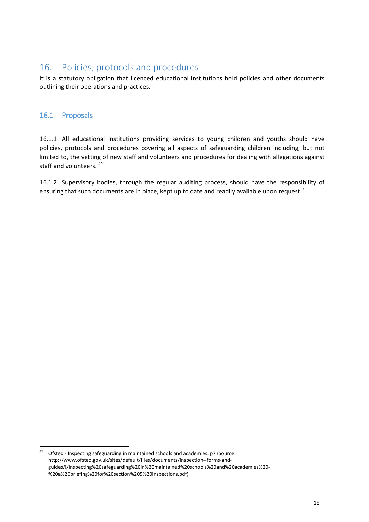### 16. Policies, protocols and procedures

It is a statutory obligation that licenced educational institutions hold policies and other documents outlining their operations and practices.

### 16.1 Proposals

l

16.1.1 All educational institutions providing services to young children and youths should have policies, protocols and procedures covering all aspects of safeguarding children including, but not limited to, the vetting of new staff and volunteers and procedures for dealing with allegations against staff and volunteers.<sup>49</sup>

16.1.2 Supervisory bodies, through the regular auditing process, should have the responsibility of ensuring that such documents are in place, kept up to date and readily available upon request<sup>17</sup>.

 $49$  Ofsted - Inspecting safeguarding in maintained schools and academies. p7 (Source: http://www.ofsted.gov.uk/sites/default/files/documents/inspection--forms-andguides/i/Inspecting%20safeguarding%20in%20maintained%20schools%20and%20academies%20- %20a%20briefing%20for%20section%205%20inspections.pdf)